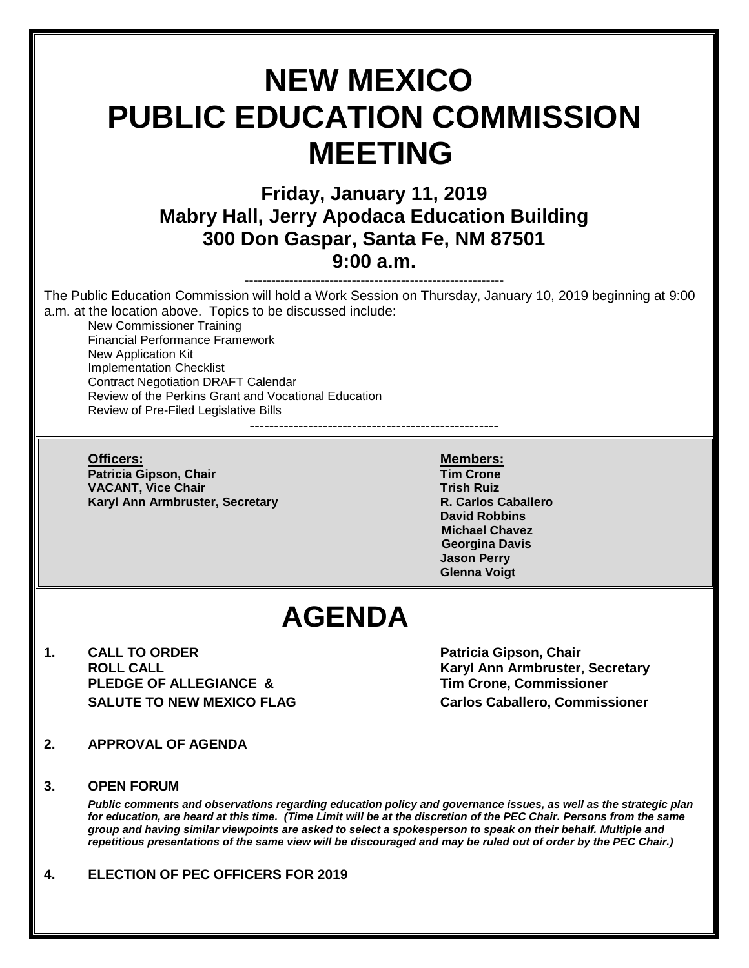# **NEW MEXICO PUBLIC EDUCATION COMMISSION MEETING Friday, January 11, 2019 Mabry Hall, Jerry Apodaca Education Building 300 Don Gaspar, Santa Fe, NM 87501 9:00 a.m. ----------------------------------------------------------** The Public Education Commission will hold a Work Session on Thursday, January 10, 2019 beginning at 9:00 a.m. at the location above. Topics to be discussed include: New Commissioner Training Financial Performance Framework New Application Kit Implementation Checklist Contract Negotiation DRAFT Calendar Review of the Perkins Grant and Vocational Education Review of Pre-Filed Legislative Bills --------------------------------------------------- **Officers: Members: Patricia Gipson, Chair Tim Crone VACANT, Vice Chair Trish Ruiz** Trish Ruiz **Karyl Ann Armbruster, Secretary R. Carlos Caballero David Robbins Michael Chavez Georgina Davis Jason Perry Glenna Voigt AGENDA 1. CALL TO ORDER Patricia Gipson, Chair ROLL CALL Karyl Ann Armbruster, Secretary PLEDGE OF ALLEGIANCE & Tim Crone, Commissioner SALUTE TO NEW MEXICO FLAG Carlos Caballero, Commissioner 2. APPROVAL OF AGENDA 3. OPEN FORUM**  *Public comments and observations regarding education policy and governance issues, as well as the strategic plan for education, are heard at this time. (Time Limit will be at the discretion of the PEC Chair. Persons from the same group and having similar viewpoints are asked to select a spokesperson to speak on their behalf. Multiple and repetitious presentations of the same view will be discouraged and may be ruled out of order by the PEC Chair.)* **4. ELECTION OF PEC OFFICERS FOR 2019**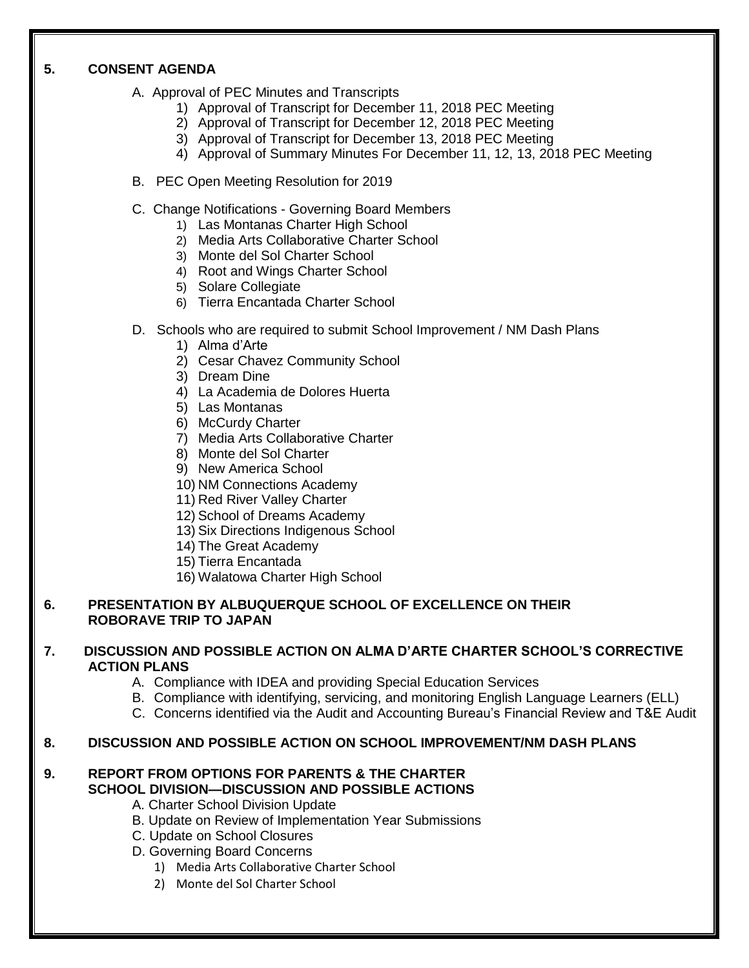## **5. CONSENT AGENDA**

- A. Approval of PEC Minutes and Transcripts
	- 1) Approval of Transcript for December 11, 2018 PEC Meeting
	- 2) Approval of Transcript for December 12, 2018 PEC Meeting
	- 3) Approval of Transcript for December 13, 2018 PEC Meeting
	- 4) Approval of Summary Minutes For December 11, 12, 13, 2018 PEC Meeting
- B. PEC Open Meeting Resolution for 2019
- C. Change Notifications Governing Board Members
	- 1) Las Montanas Charter High School
	- 2) Media Arts Collaborative Charter School
	- 3) Monte del Sol Charter School
	- 4) Root and Wings Charter School
	- 5) Solare Collegiate
	- 6) Tierra Encantada Charter School
- D. Schools who are required to submit School Improvement / NM Dash Plans
	- 1) Alma d'Arte
	- 2) Cesar Chavez Community School
	- 3) Dream Dine
	- 4) La Academia de Dolores Huerta
	- 5) Las Montanas
	- 6) McCurdy Charter
	- 7) Media Arts Collaborative Charter
	- 8) Monte del Sol Charter
	- 9) New America School
	- 10) NM Connections Academy
	- 11) Red River Valley Charter
	- 12) School of Dreams Academy
	- 13) Six Directions Indigenous School
	- 14) The Great Academy
	- 15) Tierra Encantada
	- 16) Walatowa Charter High School

### **6. PRESENTATION BY ALBUQUERQUE SCHOOL OF EXCELLENCE ON THEIR ROBORAVE TRIP TO JAPAN**

### **7. DISCUSSION AND POSSIBLE ACTION ON ALMA D'ARTE CHARTER SCHOOL'S CORRECTIVE ACTION PLANS**

- A. Compliance with IDEA and providing Special Education Services
- B. Compliance with identifying, servicing, and monitoring English Language Learners (ELL)
- C. Concerns identified via the Audit and Accounting Bureau's Financial Review and T&E Audit

## **8. DISCUSSION AND POSSIBLE ACTION ON SCHOOL IMPROVEMENT/NM DASH PLANS**

#### **9. REPORT FROM OPTIONS FOR PARENTS & THE CHARTER SCHOOL DIVISION—DISCUSSION AND POSSIBLE ACTIONS**

- A. Charter School Division Update
- B. Update on Review of Implementation Year Submissions
- C. Update on School Closures
- D. Governing Board Concerns
	- 1) Media Arts Collaborative Charter School
	- 2) Monte del Sol Charter School